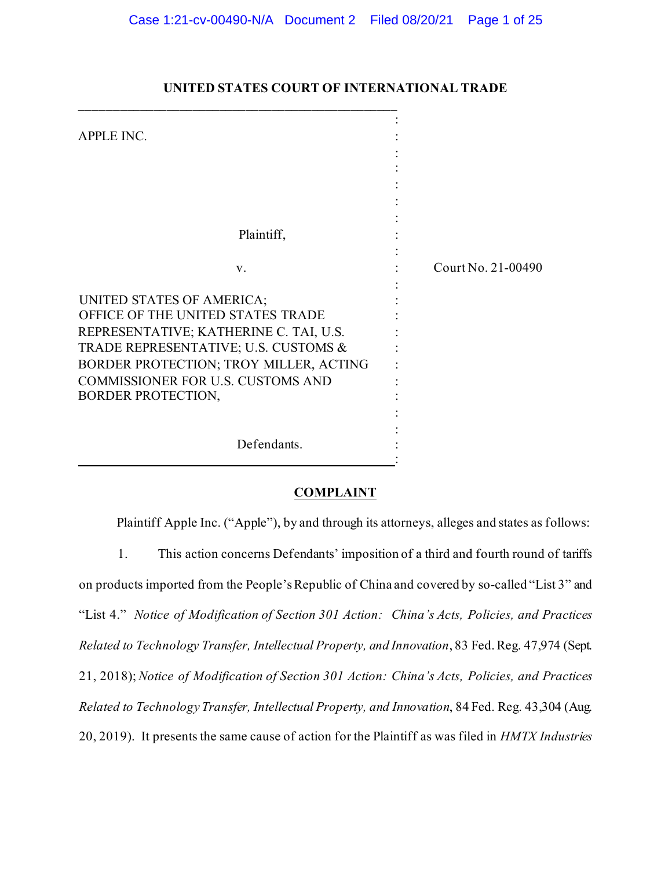| APPLE INC.                                                                                                                                                                                                                                                   |                    |
|--------------------------------------------------------------------------------------------------------------------------------------------------------------------------------------------------------------------------------------------------------------|--------------------|
|                                                                                                                                                                                                                                                              |                    |
| Plaintiff,                                                                                                                                                                                                                                                   |                    |
| V.                                                                                                                                                                                                                                                           | Court No. 21-00490 |
| UNITED STATES OF AMERICA;<br>OFFICE OF THE UNITED STATES TRADE<br>REPRESENTATIVE; KATHERINE C. TAI, U.S.<br>TRADE REPRESENTATIVE; U.S. CUSTOMS &<br>BORDER PROTECTION; TROY MILLER, ACTING<br>COMMISSIONER FOR U.S. CUSTOMS AND<br><b>BORDER PROTECTION,</b> |                    |
| Defendants.                                                                                                                                                                                                                                                  |                    |

# **UNITED STATES COURT OF INTERNATIONAL TRADE**

## **COMPLAINT**

Plaintiff Apple Inc. ("Apple"), by and through its attorneys, alleges and states as follows:

1. This action concerns Defendants' imposition of a third and fourth round of tariffs on products imported from the People's Republic of China and covered by so-called "List 3" and "List 4." *Notice of Modification of Section 301 Action: China's Acts, Policies, and Practices Related to Technology Transfer, Intellectual Property, and Innovation*, 83 Fed. Reg. 47,974 (Sept. 21, 2018); *Notice of Modification of Section 301 Action: China's Acts, Policies, and Practices Related to Technology Transfer, Intellectual Property, and Innovation*, 84 Fed. Reg. 43,304 (Aug. 20, 2019). It presents the same cause of action for the Plaintiff as was filed in *HMTX Industries*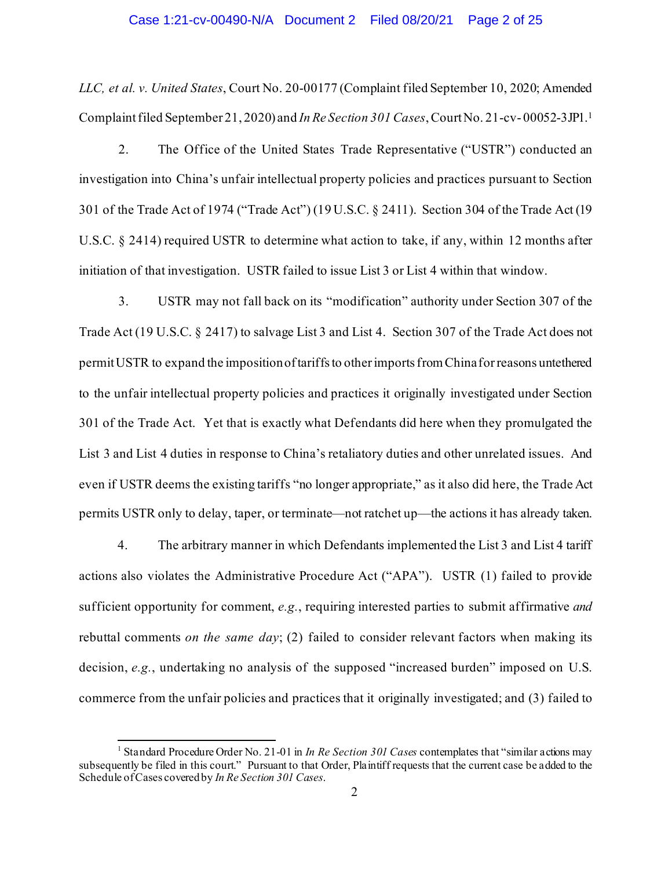### Case 1:21-cv-00490-N/A Document 2 Filed 08/20/21 Page 2 of 25

*LLC, et al. v. United States*, Court No. 20-00177 (Complaint filed September 10, 2020; Amended Complaint filed September 21, 2020) and *In Re Section 301 Cases*, Court No. 21-cv- 00052-3JP1.[1](#page-1-0)

2. The Office of the United States Trade Representative ("USTR") conducted an investigation into China's unfair intellectual property policies and practices pursuant to Section 301 of the Trade Act of 1974 ("Trade Act") (19 U.S.C. § 2411). Section 304 of the Trade Act (19 U.S.C. § 2414) required USTR to determine what action to take, if any, within 12 months after initiation of that investigation. USTR failed to issue List 3 or List 4 within that window.

3. USTR may not fall back on its "modification" authority under Section 307 of the Trade Act (19 U.S.C. § 2417) to salvage List 3 and List 4. Section 307 of the Trade Act does not permit USTR to expand the imposition of tariffs to other imports from China for reasons untethered to the unfair intellectual property policies and practices it originally investigated under Section 301 of the Trade Act. Yet that is exactly what Defendants did here when they promulgated the List 3 and List 4 duties in response to China's retaliatory duties and other unrelated issues. And even if USTR deems the existing tariffs "no longer appropriate," as it also did here, the Trade Act permits USTR only to delay, taper, or terminate—not ratchet up—the actions it has already taken.

4. The arbitrary manner in which Defendants implemented the List 3 and List 4 tariff actions also violates the Administrative Procedure Act ("APA"). USTR (1) failed to provide sufficient opportunity for comment, *e.g.*, requiring interested parties to submit affirmative *and*  rebuttal comments *on the same day*; (2) failed to consider relevant factors when making its decision, *e.g.*, undertaking no analysis of the supposed "increased burden" imposed on U.S. commerce from the unfair policies and practices that it originally investigated; and (3) failed to

<span id="page-1-0"></span><sup>1</sup> Standard Procedure Order No. 21-01 in *In Re Section 301 Cases* contemplates that "similar actions may subsequently be filed in this court." Pursuant to that Order, Plaintiff requests that the current case be added to the Schedule of Cases covered by *In Re Section 301 Cases*.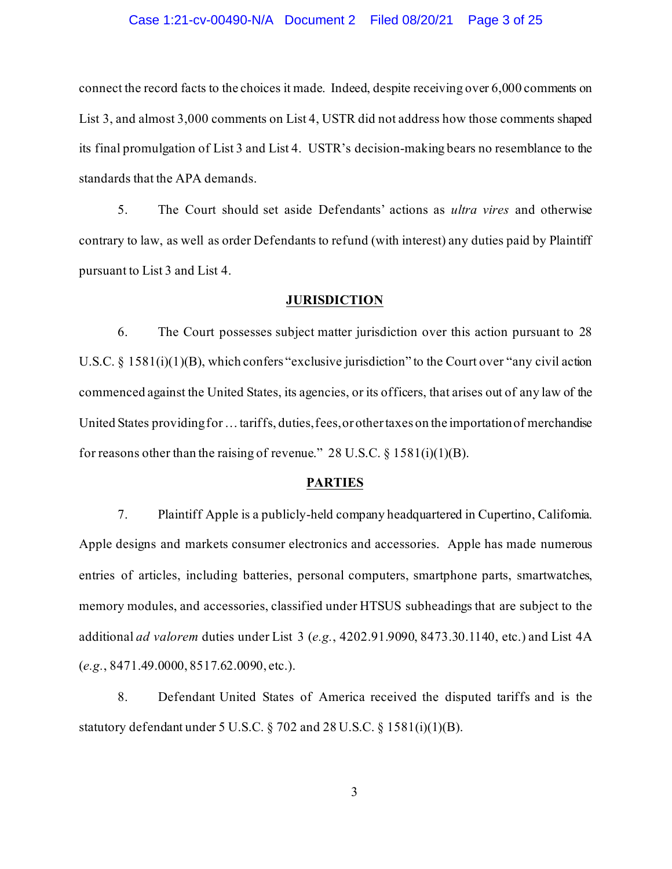#### Case 1:21-cv-00490-N/A Document 2 Filed 08/20/21 Page 3 of 25

connect the record facts to the choices it made. Indeed, despite receiving over 6,000 comments on List 3, and almost 3,000 comments on List 4, USTR did not address how those comments shaped its final promulgation of List 3 and List 4. USTR's decision-making bears no resemblance to the standards that the APA demands.

5. The Court should set aside Defendants' actions as *ultra vires* and otherwise contrary to law, as well as order Defendants to refund (with interest) any duties paid by Plaintiff pursuant to List 3 and List 4.

#### **JURISDICTION**

6. The Court possesses subject matter jurisdiction over this action pursuant to 28 U.S.C. § 1581(i)(1)(B), which confers "exclusive jurisdiction" to the Court over "any civil action commenced against the United States, its agencies, or its officers, that arises out of any law of the United States providing for … tariffs, duties, fees, or other taxes on the importation of merchandise for reasons other than the raising of revenue." 28 U.S.C.  $\S$  1581(i)(1)(B).

## **PARTIES**

7. Plaintiff Apple is a publicly-held company headquartered in Cupertino, California. Apple designs and markets consumer electronics and accessories. Apple has made numerous entries of articles, including batteries, personal computers, smartphone parts, smartwatches, memory modules, and accessories, classified under HTSUS subheadings that are subject to the additional *ad valorem* duties under List 3 (*e.g.*, 4202.91.9090, 8473.30.1140, etc.) and List 4A (*e.g.*, 8471.49.0000, 8517.62.0090, etc.).

8. Defendant United States of America received the disputed tariffs and is the statutory defendant under 5 U.S.C. § 702 and 28 U.S.C. § 1581(i)(1)(B).

3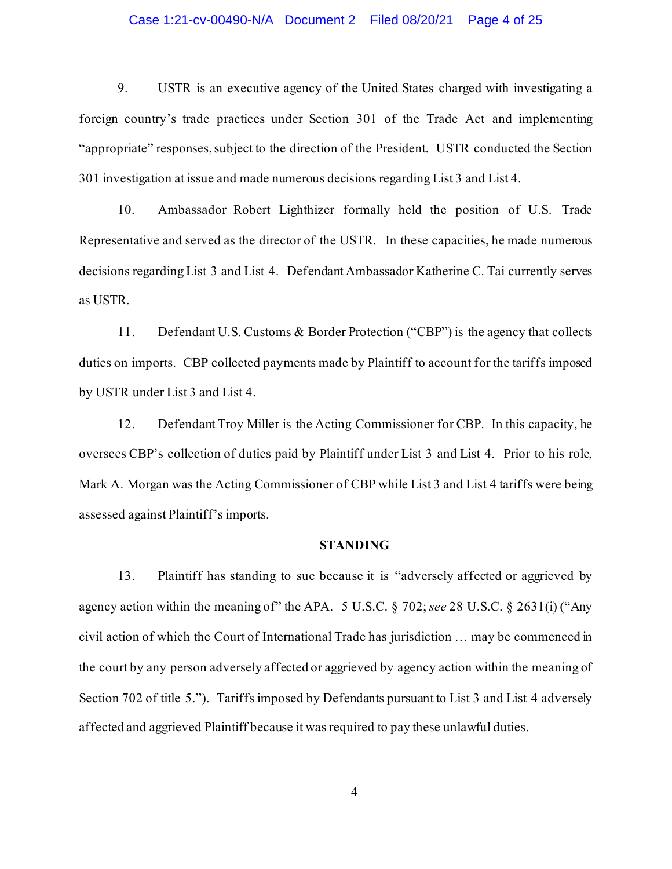### Case 1:21-cv-00490-N/A Document 2 Filed 08/20/21 Page 4 of 25

9. USTR is an executive agency of the United States charged with investigating a foreign country's trade practices under Section 301 of the Trade Act and implementing "appropriate" responses, subject to the direction of the President. USTR conducted the Section 301 investigation at issue and made numerous decisions regarding List 3 and List 4.

10. Ambassador Robert Lighthizer formally held the position of U.S. Trade Representative and served as the director of the USTR. In these capacities, he made numerous decisions regarding List 3 and List 4. Defendant Ambassador Katherine C. Tai currently serves as USTR.

11. Defendant U.S. Customs & Border Protection ("CBP") is the agency that collects duties on imports. CBP collected payments made by Plaintiff to account for the tariffs imposed by USTR under List 3 and List 4.

12. Defendant Troy Miller is the Acting Commissioner for CBP. In this capacity, he oversees CBP's collection of duties paid by Plaintiff under List 3 and List 4. Prior to his role, Mark A. Morgan was the Acting Commissioner of CBP while List 3 and List 4 tariffs were being assessed against Plaintiff's imports.

## **STANDING**

13. Plaintiff has standing to sue because it is "adversely affected or aggrieved by agency action within the meaning of" the APA. 5 U.S.C. § 702; *see* 28 U.S.C. § 2631(i) ("Any civil action of which the Court of International Trade has jurisdiction … may be commenced in the court by any person adversely affected or aggrieved by agency action within the meaning of Section 702 of title 5."). Tariffs imposed by Defendants pursuant to List 3 and List 4 adversely affected and aggrieved Plaintiff because it was required to pay these unlawful duties.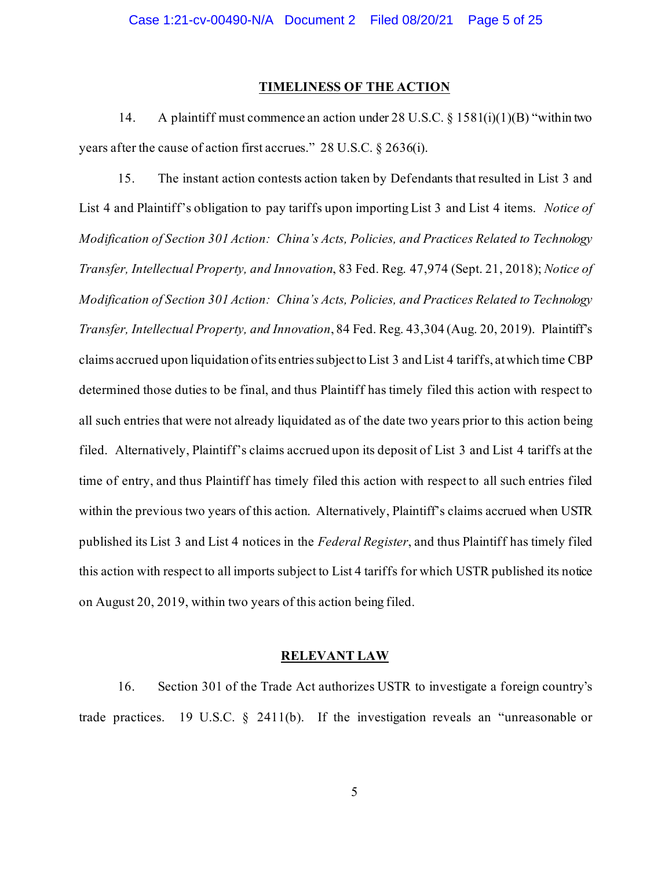#### **TIMELINESS OF THE ACTION**

14. A plaintiff must commence an action under 28 U.S.C. § 1581(i)(1)(B) "within two years after the cause of action first accrues." 28 U.S.C. § 2636(i).

15. The instant action contests action taken by Defendants that resulted in List 3 and List 4 and Plaintiff's obligation to pay tariffs upon importing List 3 and List 4 items. *Notice of Modification of Section 301 Action: China's Acts, Policies, and Practices Related to Technology Transfer, Intellectual Property, and Innovation*, 83 Fed. Reg. 47,974 (Sept. 21, 2018); *Notice of Modification of Section 301 Action: China's Acts, Policies, and Practices Related to Technology Transfer, Intellectual Property, and Innovation*, 84 Fed. Reg. 43,304 (Aug. 20, 2019). Plaintiff's claims accrued upon liquidation of its entries subject to List 3 and List 4 tariffs, at which time CBP determined those duties to be final, and thus Plaintiff has timely filed this action with respect to all such entries that were not already liquidated as of the date two years prior to this action being filed. Alternatively, Plaintiff's claims accrued upon its deposit of List 3 and List 4 tariffs at the time of entry, and thus Plaintiff has timely filed this action with respect to all such entries filed within the previous two years of this action. Alternatively, Plaintiff's claims accrued when USTR published its List 3 and List 4 notices in the *Federal Register*, and thus Plaintiff has timely filed this action with respect to all imports subject to List 4 tariffs for which USTR published its notice on August 20, 2019, within two years of this action being filed.

## **RELEVANT LAW**

16. Section 301 of the Trade Act authorizes USTR to investigate a foreign country's trade practices. 19 U.S.C. § 2411(b). If the investigation reveals an "unreasonable or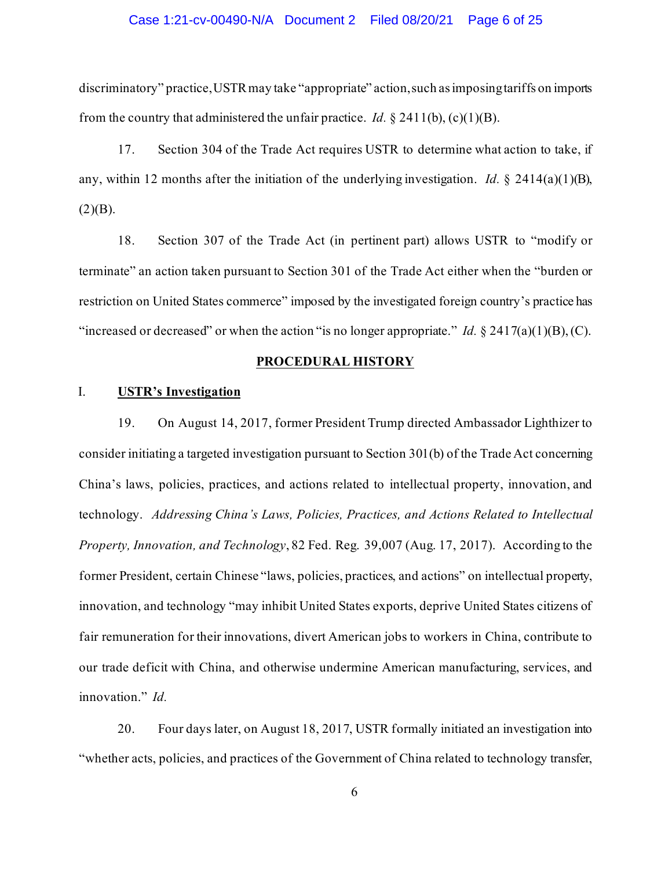### Case 1:21-cv-00490-N/A Document 2 Filed 08/20/21 Page 6 of 25

discriminatory" practice, USTR may take "appropriate" action, such as imposing tariffs on imports from the country that administered the unfair practice. *Id.*  $\S 2411(b)$ , (c)(1)(B).

17. Section 304 of the Trade Act requires USTR to determine what action to take, if any, within 12 months after the initiation of the underlying investigation. *Id.* § 2414(a)(1)(B),  $(2)(B).$ 

18. Section 307 of the Trade Act (in pertinent part) allows USTR to "modify or terminate" an action taken pursuant to Section 301 of the Trade Act either when the "burden or restriction on United States commerce" imposed by the investigated foreign country's practice has "increased or decreased" or when the action "is no longer appropriate." *Id.* § 2417(a)(1)(B), (C).

## **PROCEDURAL HISTORY**

## I. **USTR's Investigation**

19. On August 14, 2017, former President Trump directed Ambassador Lighthizer to consider initiating a targeted investigation pursuant to Section 301(b) of the Trade Act concerning China's laws, policies, practices, and actions related to intellectual property, innovation, and technology. *Addressing China's Laws, Policies, Practices, and Actions Related to Intellectual Property, Innovation, and Technology*, 82 Fed. Reg. 39,007 (Aug. 17, 2017). According to the former President, certain Chinese "laws, policies, practices, and actions" on intellectual property, innovation, and technology "may inhibit United States exports, deprive United States citizens of fair remuneration for their innovations, divert American jobs to workers in China, contribute to our trade deficit with China, and otherwise undermine American manufacturing, services, and innovation." *Id.*

20. Four days later, on August 18, 2017, USTR formally initiated an investigation into "whether acts, policies, and practices of the Government of China related to technology transfer,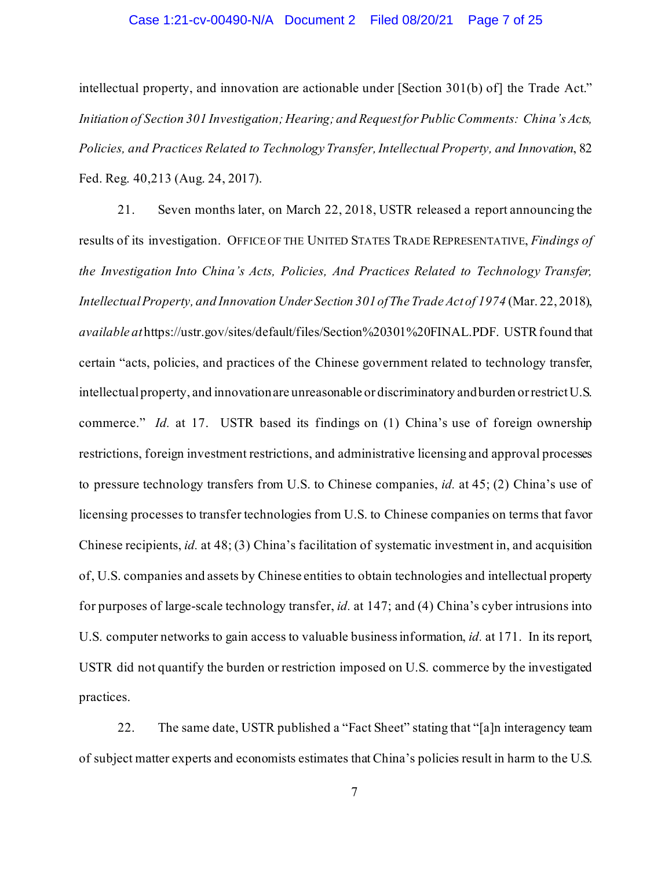### Case 1:21-cv-00490-N/A Document 2 Filed 08/20/21 Page 7 of 25

intellectual property, and innovation are actionable under [Section 301(b) of] the Trade Act." *Initiation of Section 301 Investigation; Hearing; and Request for Public Comments: China's Acts, Policies, and Practices Related to Technology Transfer, Intellectual Property, and Innovation*, 82 Fed. Reg. 40,213 (Aug. 24, 2017).

21. Seven months later, on March 22, 2018, USTR released a report announcing the results of its investigation. OFFICE OF THE UNITED STATES TRADE REPRESENTATIVE, *Findings of the Investigation Into China's Acts, Policies, And Practices Related to Technology Transfer, Intellectual Property, and Innovation Under Section 301 of The Trade Act of 1974* (Mar. 22, 2018), *available at*https://ustr.gov/sites/default/files/Section%20301%20FINAL.PDF. USTR found that certain "acts, policies, and practices of the Chinese government related to technology transfer, intellectual property, and innovation are unreasonable or discriminatory and burden or restrict U.S. commerce." *Id.* at 17. USTR based its findings on (1) China's use of foreign ownership restrictions, foreign investment restrictions, and administrative licensing and approval processes to pressure technology transfers from U.S. to Chinese companies, *id.* at 45; (2) China's use of licensing processes to transfer technologies from U.S. to Chinese companies on terms that favor Chinese recipients, *id.* at 48; (3) China's facilitation of systematic investment in, and acquisition of, U.S. companies and assets by Chinese entities to obtain technologies and intellectual property for purposes of large-scale technology transfer, *id.* at 147; and (4) China's cyber intrusions into U.S. computer networks to gain access to valuable business information, *id.* at 171. In its report, USTR did not quantify the burden or restriction imposed on U.S. commerce by the investigated practices.

22. The same date, USTR published a "Fact Sheet" stating that "[a]n interagency team of subject matter experts and economists estimates that China's policies result in harm to the U.S.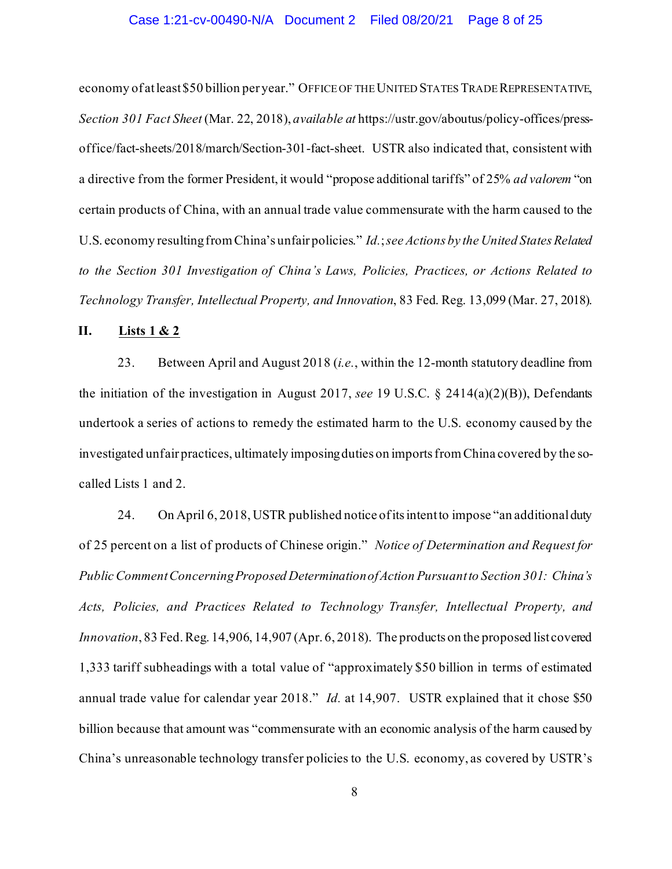economy of at least \$50 billion per year." OFFICE OF THE UNITED STATES TRADE REPRESENTATIVE, *Section 301 Fact Sheet* (Mar. 22, 2018), *available at* https://ustr.gov/aboutus/policy-offices/pressoffice/fact-sheets/2018/march/Section-301-fact-sheet. USTR also indicated that, consistent with a directive from the former President, it would "propose additional tariffs" of 25% *ad valorem* "on certain products of China, with an annual trade value commensurate with the harm caused to the U.S. economy resulting from China's unfair policies." *Id.*; *see Actions by the United States Related to the Section 301 Investigation of China's Laws, Policies, Practices, or Actions Related to Technology Transfer, Intellectual Property, and Innovation*, 83 Fed. Reg. 13,099 (Mar. 27, 2018).

## **II. Lists 1 & 2**

23. Between April and August 2018 (*i.e.*, within the 12-month statutory deadline from the initiation of the investigation in August 2017, *see* 19 U.S.C. § 2414(a)(2)(B)), Defendants undertook a series of actions to remedy the estimated harm to the U.S. economy caused by the investigated unfair practices, ultimately imposing duties on imports from China covered by the socalled Lists 1 and 2.

24. On April 6, 2018, USTR published notice of its intent to impose "an additional duty of 25 percent on a list of products of Chinese origin." *Notice of Determination and Request for Public Comment Concerning Proposed Determination of Action Pursuant to Section 301: China's Acts, Policies, and Practices Related to Technology Transfer, Intellectual Property, and Innovation*, 83 Fed. Reg. 14,906, 14,907 (Apr. 6, 2018). The products on the proposed list covered 1,333 tariff subheadings with a total value of "approximately \$50 billion in terms of estimated annual trade value for calendar year 2018." *Id.* at 14,907. USTR explained that it chose \$50 billion because that amount was "commensurate with an economic analysis of the harm caused by China's unreasonable technology transfer policies to the U.S. economy, as covered by USTR's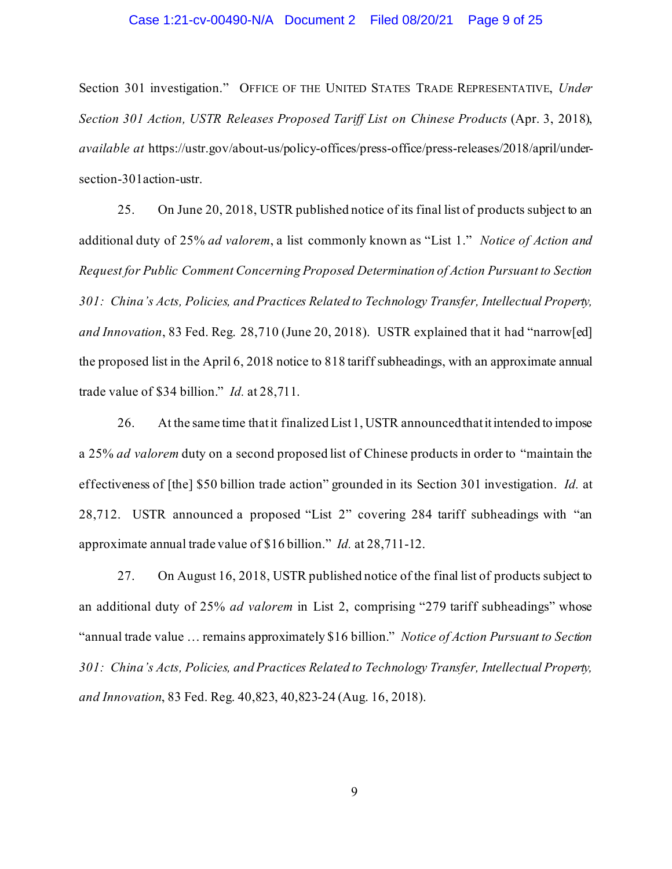#### Case 1:21-cv-00490-N/A Document 2 Filed 08/20/21 Page 9 of 25

Section 301 investigation." OFFICE OF THE UNITED STATES TRADE REPRESENTATIVE, *Under Section 301 Action, USTR Releases Proposed Tariff List on Chinese Products* (Apr. 3, 2018), *available at* https://ustr.gov/about-us/policy-offices/press-office/press-releases/2018/april/undersection-301action-ustr.

25. On June 20, 2018, USTR published notice of its final list of products subject to an additional duty of 25% *ad valorem*, a list commonly known as "List 1." *Notice of Action and Request for Public Comment Concerning Proposed Determination of Action Pursuant to Section 301: China's Acts, Policies, and Practices Related to Technology Transfer, Intellectual Property, and Innovation*, 83 Fed. Reg. 28,710 (June 20, 2018). USTR explained that it had "narrow[ed] the proposed list in the April 6, 2018 notice to 818 tariff subheadings, with an approximate annual trade value of \$34 billion." *Id.* at 28,711.

26. At the same time that it finalized List 1, USTR announced that it intended to impose a 25% *ad valorem* duty on a second proposed list of Chinese products in order to "maintain the effectiveness of [the] \$50 billion trade action" grounded in its Section 301 investigation. *Id.* at 28,712. USTR announced a proposed "List 2" covering 284 tariff subheadings with "an approximate annual trade value of \$16 billion." *Id.* at 28,711-12.

27. On August 16, 2018, USTR published notice of the final list of products subject to an additional duty of 25% *ad valorem* in List 2, comprising "279 tariff subheadings" whose "annual trade value … remains approximately \$16 billion." *Notice of Action Pursuant to Section 301: China's Acts, Policies, and Practices Related to Technology Transfer, Intellectual Property, and Innovation*, 83 Fed. Reg. 40,823, 40,823-24 (Aug. 16, 2018).

9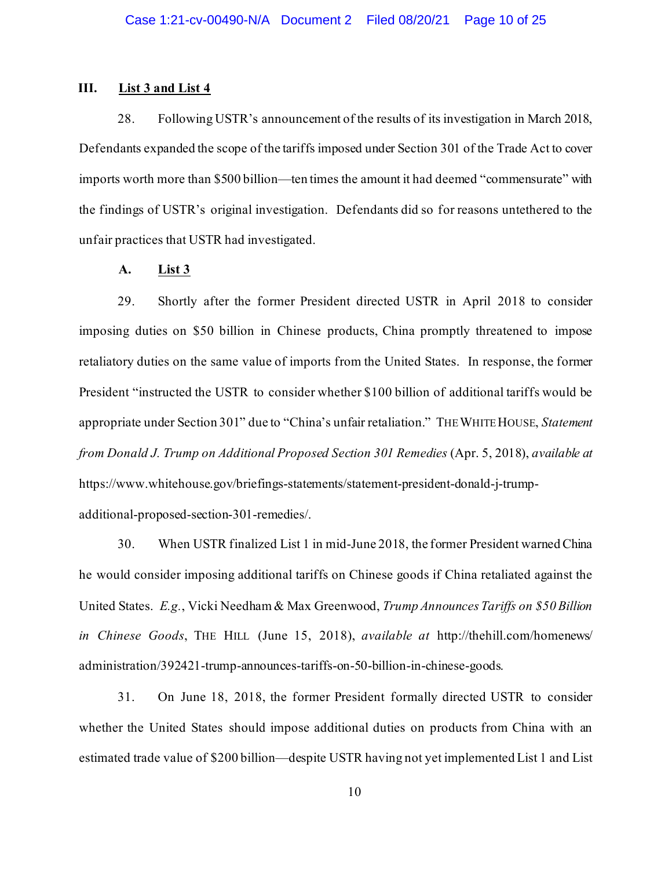## **III. List 3 and List 4**

28. Following USTR's announcement of the results of its investigation in March 2018, Defendants expanded the scope of the tariffs imposed under Section 301 of the Trade Act to cover imports worth more than \$500 billion—ten times the amount it had deemed "commensurate" with the findings of USTR's original investigation. Defendants did so for reasons untethered to the unfair practices that USTR had investigated.

#### **A. List 3**

29. Shortly after the former President directed USTR in April 2018 to consider imposing duties on \$50 billion in Chinese products, China promptly threatened to impose retaliatory duties on the same value of imports from the United States. In response, the former President "instructed the USTR to consider whether \$100 billion of additional tariffs would be appropriate under Section 301" due to "China's unfair retaliation." THE WHITE HOUSE, *Statement from Donald J. Trump on Additional Proposed Section 301 Remedies* (Apr. 5, 2018), *available at*  https://www.whitehouse.gov/briefings-statements/statement-president-donald-j-trumpadditional-proposed-section-301-remedies/.

30. When USTR finalized List 1 in mid-June 2018, the former President warned China he would consider imposing additional tariffs on Chinese goods if China retaliated against the United States. *E.g.*, Vicki Needham & Max Greenwood, *Trump Announces Tariffs on \$50 Billion in Chinese Goods*, THE HILL (June 15, 2018), *available at* http://thehill.com/homenews/ administration/392421-trump-announces-tariffs-on-50-billion-in-chinese-goods.

31. On June 18, 2018, the former President formally directed USTR to consider whether the United States should impose additional duties on products from China with an estimated trade value of \$200 billion—despite USTR having not yet implemented List 1 and List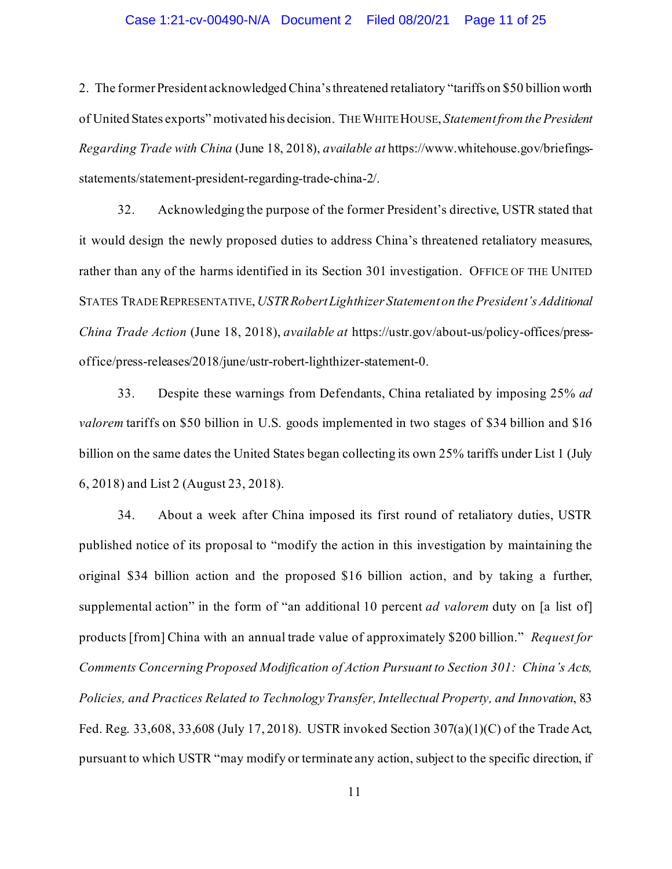### Case 1:21-cv-00490-N/A Document 2 Filed 08/20/21 Page 11 of 25

2. The former President acknowledged China's threatened retaliatory "tariffs on \$50 billion worth of United States exports" motivated his decision. THE WHITE HOUSE, *Statement from the President Regarding Trade with China* (June 18, 2018), *available at* https://www.whitehouse.gov/briefingsstatements/statement-president-regarding-trade-china-2/.

32. Acknowledging the purpose of the former President's directive, USTR stated that it would design the newly proposed duties to address China's threatened retaliatory measures, rather than any of the harms identified in its Section 301 investigation. OFFICE OF THE UNITED STATES TRADE REPRESENTATIVE, *USTR Robert Lighthizer Statement on the President's Additional China Trade Action* (June 18, 2018), *available at* https://ustr.gov/about-us/policy-offices/pressoffice/press-releases/2018/june/ustr-robert-lighthizer-statement-0.

33. Despite these warnings from Defendants, China retaliated by imposing 25% *ad valorem* tariffs on \$50 billion in U.S. goods implemented in two stages of \$34 billion and \$16 billion on the same dates the United States began collecting its own 25% tariffs under List 1 (July 6, 2018) and List 2 (August 23, 2018).

34. About a week after China imposed its first round of retaliatory duties, USTR published notice of its proposal to "modify the action in this investigation by maintaining the original \$34 billion action and the proposed \$16 billion action, and by taking a further, supplemental action" in the form of "an additional 10 percent *ad valorem* duty on [a list of] products [from] China with an annual trade value of approximately \$200 billion." *Request for Comments Concerning Proposed Modification of Action Pursuant to Section 301: China's Acts, Policies, and Practices Related to Technology Transfer, Intellectual Property, and Innovation*, 83 Fed. Reg. 33,608, 33,608 (July 17, 2018). USTR invoked Section 307(a)(1)(C) of the Trade Act, pursuant to which USTR "may modify or terminate any action, subject to the specific direction, if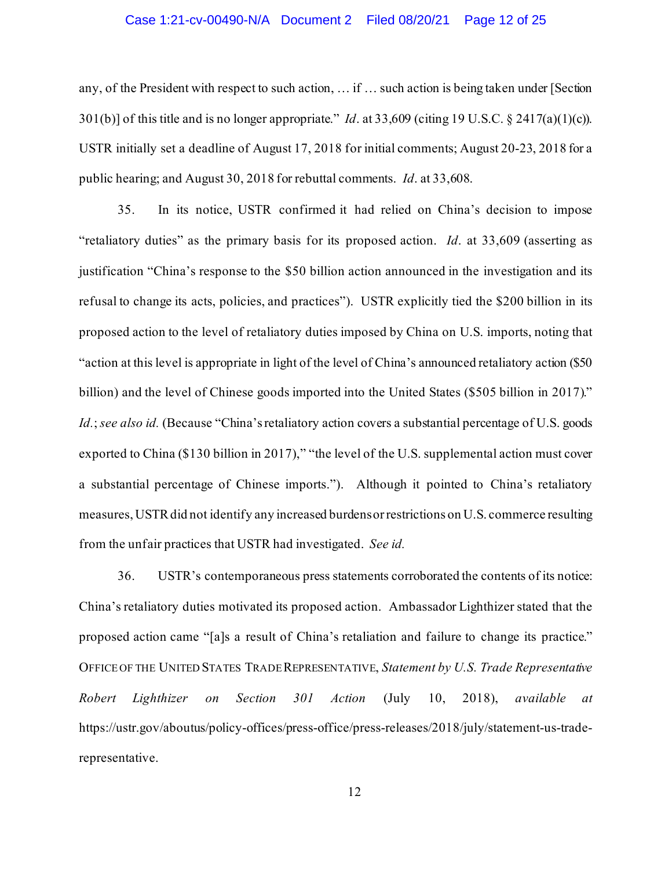#### Case 1:21-cv-00490-N/A Document 2 Filed 08/20/21 Page 12 of 25

any, of the President with respect to such action, … if … such action is being taken under [Section 301(b)] of this title and is no longer appropriate." *Id*. at 33,609 (citing 19 U.S.C. § 2417(a)(1)(c)). USTR initially set a deadline of August 17, 2018 for initial comments; August 20-23, 2018 for a public hearing; and August 30, 2018 for rebuttal comments. *Id*. at 33,608.

35. In its notice, USTR confirmed it had relied on China's decision to impose "retaliatory duties" as the primary basis for its proposed action. *Id*. at 33,609 (asserting as justification "China's response to the \$50 billion action announced in the investigation and its refusal to change its acts, policies, and practices"). USTR explicitly tied the \$200 billion in its proposed action to the level of retaliatory duties imposed by China on U.S. imports, noting that "action at this level is appropriate in light of the level of China's announced retaliatory action (\$50 billion) and the level of Chinese goods imported into the United States (\$505 billion in 2017)." *Id.*; *see also id.* (Because "China's retaliatory action covers a substantial percentage of U.S. goods exported to China (\$130 billion in 2017)," "the level of the U.S. supplemental action must cover a substantial percentage of Chinese imports."). Although it pointed to China's retaliatory measures, USTR did not identify any increased burdens or restrictions on U.S. commerce resulting from the unfair practices that USTR had investigated. *See id.*

36. USTR's contemporaneous press statements corroborated the contents of its notice: China's retaliatory duties motivated its proposed action. Ambassador Lighthizer stated that the proposed action came "[a]s a result of China's retaliation and failure to change its practice." OFFICE OF THE UNITED STATES TRADE REPRESENTATIVE, *Statement by U.S. Trade Representative Robert Lighthizer on Section 301 Action* (July 10, 2018), *available at*  https://ustr.gov/aboutus/policy-offices/press-office/press-releases/2018/july/statement-us-traderepresentative.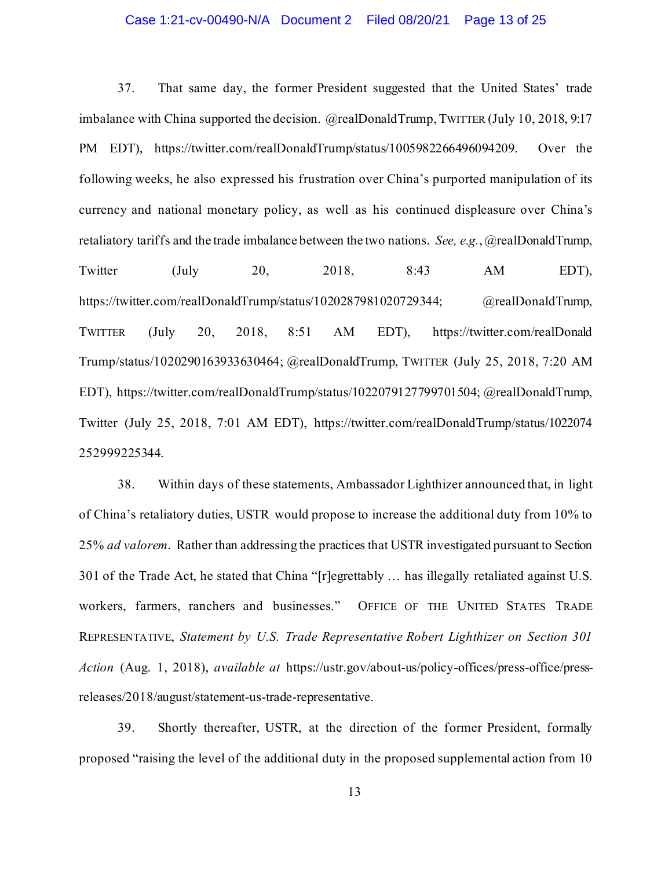### Case 1:21-cv-00490-N/A Document 2 Filed 08/20/21 Page 13 of 25

37. That same day, the former President suggested that the United States' trade imbalance with China supported the decision. @realDonaldTrump, TWITTER (July 10, 2018, 9:17 PM EDT), https://twitter.com/realDonaldTrump/status/1005982266496094209. Over the following weeks, he also expressed his frustration over China's purported manipulation of its currency and national monetary policy, as well as his continued displeasure over China's retaliatory tariffs and the trade imbalance between the two nations. *See, e.g.*, @realDonaldTrump, Twitter (July 20, 2018, 8:43 AM EDT), https://twitter.com/realDonaldTrump/status/1020287981020729344; @realDonaldTrump, TWITTER (July 20, 2018, 8:51 AM EDT), https://twitter.com/realDonald Trump/status/1020290163933630464; @realDonaldTrump, TWITTER (July 25, 2018, 7:20 AM EDT), https://twitter.com/realDonaldTrump/status/1022079127799701504; @realDonaldTrump, Twitter (July 25, 2018, 7:01 AM EDT), https://twitter.com/realDonaldTrump/status/1022074 252999225344.

38. Within days of these statements, Ambassador Lighthizer announced that, in light of China's retaliatory duties, USTR would propose to increase the additional duty from 10% to 25% *ad valorem*. Rather than addressing the practices that USTR investigated pursuant to Section 301 of the Trade Act, he stated that China "[r]egrettably … has illegally retaliated against U.S. workers, farmers, ranchers and businesses." OFFICE OF THE UNITED STATES TRADE REPRESENTATIVE, *Statement by U.S. Trade Representative Robert Lighthizer on Section 301 Action* (Aug. 1, 2018), *available at* https://ustr.gov/about-us/policy-offices/press-office/pressreleases/2018/august/statement-us-trade-representative.

39. Shortly thereafter, USTR, at the direction of the former President, formally proposed "raising the level of the additional duty in the proposed supplemental action from 10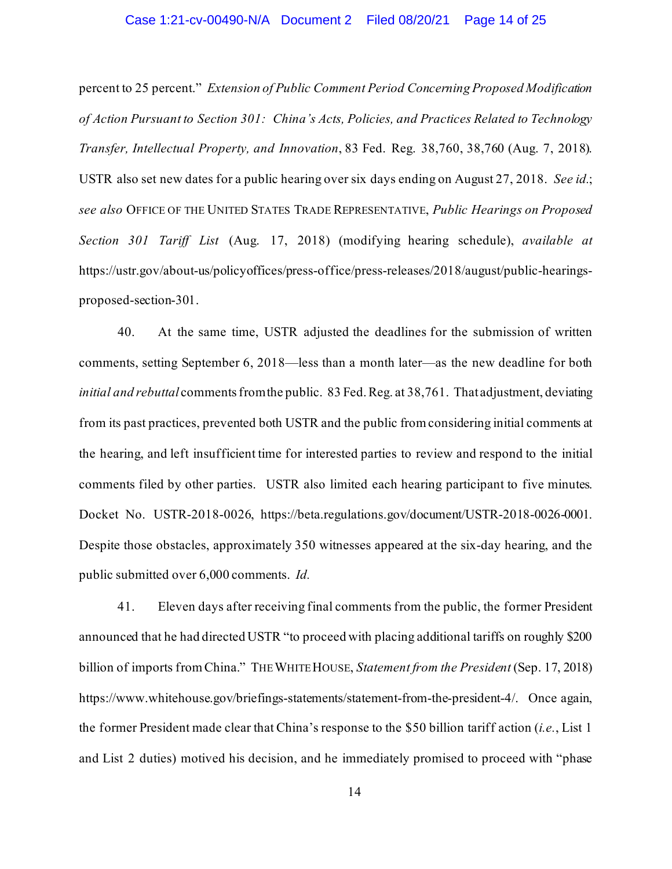### Case 1:21-cv-00490-N/A Document 2 Filed 08/20/21 Page 14 of 25

percent to 25 percent." *Extension of Public Comment Period Concerning Proposed Modification of Action Pursuant to Section 301: China's Acts, Policies, and Practices Related to Technology Transfer, Intellectual Property, and Innovation*, 83 Fed. Reg. 38,760, 38,760 (Aug. 7, 2018). USTR also set new dates for a public hearing over six days ending on August 27, 2018. *See id.*; *see also* OFFICE OF THE UNITED STATES TRADE REPRESENTATIVE, *Public Hearings on Proposed Section 301 Tariff List* (Aug. 17, 2018) (modifying hearing schedule), *available at*  https://ustr.gov/about-us/policyoffices/press-office/press-releases/2018/august/public-hearingsproposed-section-301.

40. At the same time, USTR adjusted the deadlines for the submission of written comments, setting September 6, 2018—less than a month later—as the new deadline for both *initial and rebuttal* comments from the public. 83 Fed. Reg. at 38,761. That adjustment, deviating from its past practices, prevented both USTR and the public from considering initial comments at the hearing, and left insufficient time for interested parties to review and respond to the initial comments filed by other parties. USTR also limited each hearing participant to five minutes. Docket No. USTR-2018-0026, https://beta.regulations.gov/document/USTR-2018-0026-0001. Despite those obstacles, approximately 350 witnesses appeared at the six-day hearing, and the public submitted over 6,000 comments. *Id.*

41. Eleven days after receiving final comments from the public, the former President announced that he had directed USTR "to proceed with placing additional tariffs on roughly \$200 billion of imports from China." THE WHITE HOUSE, *Statement from the President* (Sep. 17, 2018) https://www.whitehouse.gov/briefings-statements/statement-from-the-president-4/. Once again, the former President made clear that China's response to the \$50 billion tariff action (*i.e.*, List 1 and List 2 duties) motived his decision, and he immediately promised to proceed with "phase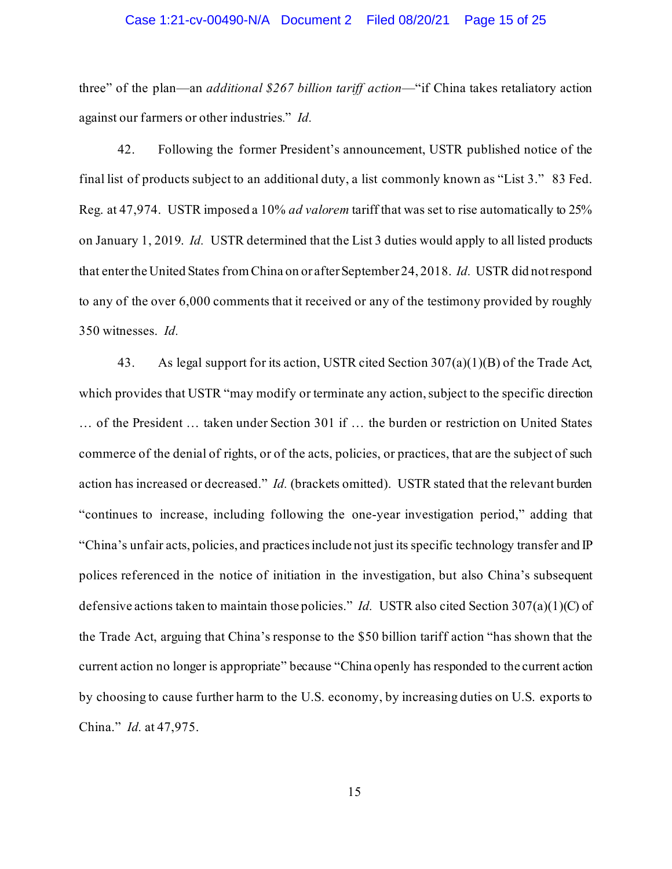#### Case 1:21-cv-00490-N/A Document 2 Filed 08/20/21 Page 15 of 25

three" of the plan—an *additional \$267 billion tariff action*—"if China takes retaliatory action against our farmers or other industries*.*" *Id.*

42. Following the former President's announcement, USTR published notice of the final list of products subject to an additional duty, a list commonly known as "List 3." 83 Fed. Reg. at 47,974. USTR imposed a 10% *ad valorem* tariff that was set to rise automatically to 25% on January 1, 2019. *Id.* USTR determined that the List 3 duties would apply to all listed products that enter the United States from China on or after September 24, 2018. *Id.* USTR did not respond to any of the over 6,000 comments that it received or any of the testimony provided by roughly 350 witnesses. *Id.*

43. As legal support for its action, USTR cited Section 307(a)(1)(B) of the Trade Act, which provides that USTR "may modify or terminate any action, subject to the specific direction … of the President … taken under Section 301 if … the burden or restriction on United States commerce of the denial of rights, or of the acts, policies, or practices, that are the subject of such action has increased or decreased." *Id.* (brackets omitted). USTR stated that the relevant burden "continues to increase, including following the one-year investigation period," adding that "China's unfair acts, policies, and practices include not just its specific technology transfer and IP polices referenced in the notice of initiation in the investigation, but also China's subsequent defensive actions taken to maintain those policies." *Id.* USTR also cited Section 307(a)(1)(C) of the Trade Act, arguing that China's response to the \$50 billion tariff action "has shown that the current action no longer is appropriate" because "China openly has responded to the current action by choosing to cause further harm to the U.S. economy, by increasing duties on U.S. exports to China." *Id.* at 47,975.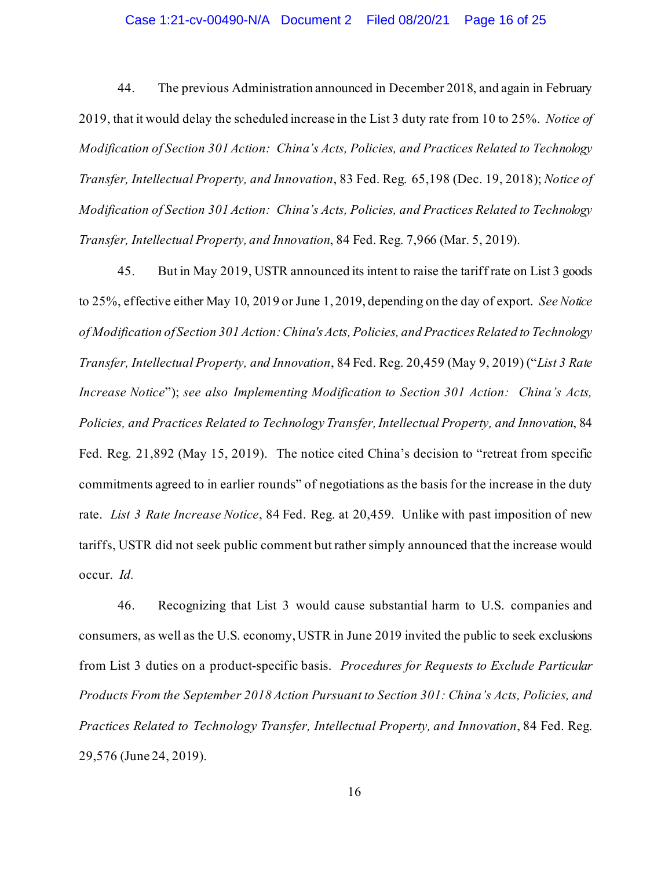#### Case 1:21-cv-00490-N/A Document 2 Filed 08/20/21 Page 16 of 25

44. The previous Administration announced in December 2018, and again in February 2019, that it would delay the scheduled increase in the List 3 duty rate from 10 to 25%. *Notice of Modification of Section 301 Action: China's Acts, Policies, and Practices Related to Technology Transfer, Intellectual Property, and Innovation*, 83 Fed. Reg. 65,198 (Dec. 19, 2018); *Notice of Modification of Section 301 Action: China's Acts, Policies, and Practices Related to Technology Transfer, Intellectual Property, and Innovation*, 84 Fed. Reg. 7,966 (Mar. 5, 2019).

45. But in May 2019, USTR announced its intent to raise the tariff rate on List 3 goods to 25%, effective either May 10, 2019 or June 1, 2019, depending on the day of export. *See Notice of Modification of Section 301 Action: China's Acts, Policies, and Practices Related to Technology Transfer, Intellectual Property, and Innovation*, 84 Fed. Reg. 20,459 (May 9, 2019) ("*List 3 Rate Increase Notice*"); *see also Implementing Modification to Section 301 Action: China's Acts, Policies, and Practices Related to Technology Transfer, Intellectual Property, and Innovation*, 84 Fed. Reg. 21,892 (May 15, 2019). The notice cited China's decision to "retreat from specific commitments agreed to in earlier rounds" of negotiations as the basis for the increase in the duty rate. *List 3 Rate Increase Notice*, 84 Fed. Reg. at 20,459*.* Unlike with past imposition of new tariffs, USTR did not seek public comment but rather simply announced that the increase would occur. *Id.*

46. Recognizing that List 3 would cause substantial harm to U.S. companies and consumers, as well as the U.S. economy, USTR in June 2019 invited the public to seek exclusions from List 3 duties on a product-specific basis. *Procedures for Requests to Exclude Particular Products From the September 2018 Action Pursuant to Section 301: China's Acts, Policies, and Practices Related to Technology Transfer, Intellectual Property, and Innovation*, 84 Fed. Reg. 29,576 (June 24, 2019).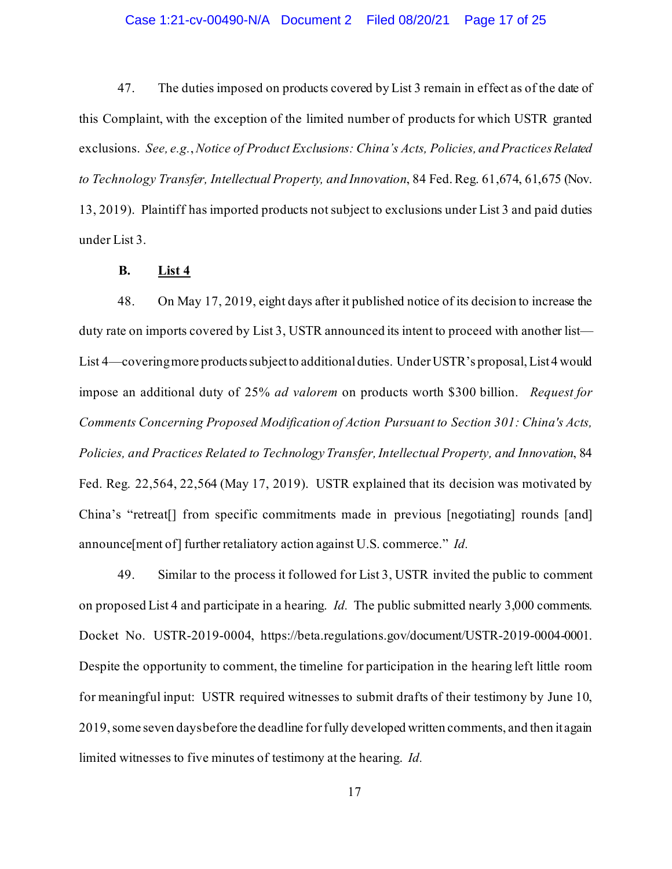### Case 1:21-cv-00490-N/A Document 2 Filed 08/20/21 Page 17 of 25

47. The duties imposed on products covered by List 3 remain in effect as of the date of this Complaint, with the exception of the limited number of products for which USTR granted exclusions. *See, e.g.*,*Notice of Product Exclusions: China's Acts, Policies, and Practices Related to Technology Transfer, Intellectual Property, and Innovation*, 84 Fed. Reg. 61,674, 61,675 (Nov. 13, 2019). Plaintiff has imported products not subject to exclusions under List 3 and paid duties under List 3.

## **B. List 4**

48. On May 17, 2019, eight days after it published notice of its decision to increase the duty rate on imports covered by List 3, USTR announced its intent to proceed with another list— List 4—covering more products subject to additional duties. Under USTR's proposal, List 4 would impose an additional duty of 25% *ad valorem* on products worth \$300 billion. *Request for Comments Concerning Proposed Modification of Action Pursuant to Section 301: China's Acts, Policies, and Practices Related to Technology Transfer, Intellectual Property, and Innovation*, 84 Fed. Reg. 22,564, 22,564 (May 17, 2019). USTR explained that its decision was motivated by China's "retreat[] from specific commitments made in previous [negotiating] rounds [and] announce[ment of] further retaliatory action against U.S. commerce." *Id.*

49. Similar to the process it followed for List 3, USTR invited the public to comment on proposed List 4 and participate in a hearing. *Id.* The public submitted nearly 3,000 comments. Docket No. USTR-2019-0004, https://beta.regulations.gov/document/USTR-2019-0004-0001. Despite the opportunity to comment, the timeline for participation in the hearing left little room for meaningful input: USTR required witnesses to submit drafts of their testimony by June 10, 2019, some seven days before the deadline for fully developed written comments, and then it again limited witnesses to five minutes of testimony at the hearing. *Id.*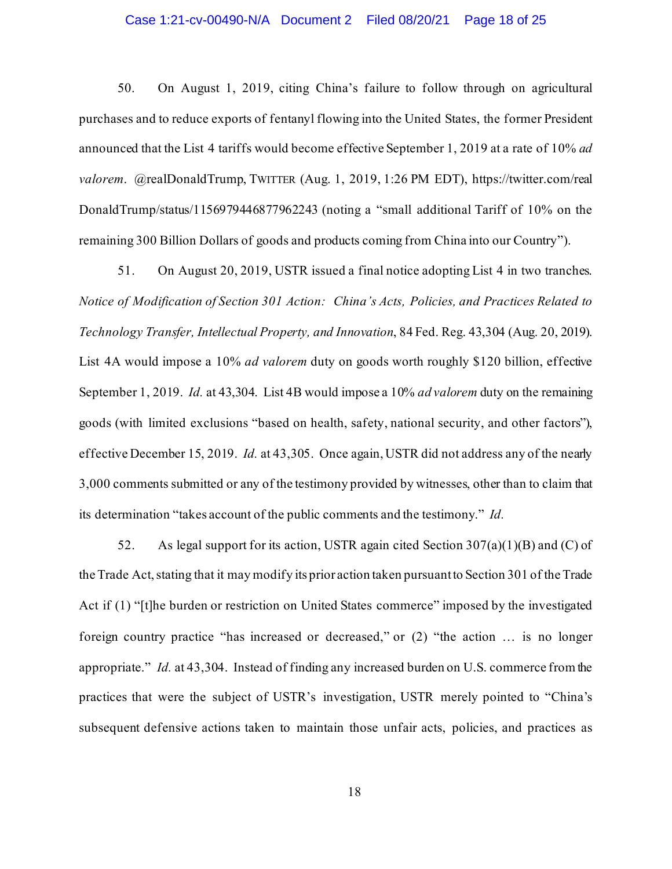### Case 1:21-cv-00490-N/A Document 2 Filed 08/20/21 Page 18 of 25

50. On August 1, 2019, citing China's failure to follow through on agricultural purchases and to reduce exports of fentanyl flowing into the United States, the former President announced that the List 4 tariffs would become effective September 1, 2019 at a rate of 10% *ad valorem*. @realDonaldTrump, TWITTER (Aug. 1, 2019, 1:26 PM EDT), https://twitter.com/real DonaldTrump/status/1156979446877962243 (noting a "small additional Tariff of 10% on the remaining 300 Billion Dollars of goods and products coming from China into our Country").

51. On August 20, 2019, USTR issued a final notice adopting List 4 in two tranches. *Notice of Modification of Section 301 Action: China's Acts, Policies, and Practices Related to Technology Transfer, Intellectual Property, and Innovation*, 84 Fed. Reg. 43,304 (Aug. 20, 2019). List 4A would impose a 10% *ad valorem* duty on goods worth roughly \$120 billion, effective September 1, 2019. *Id.* at 43,304. List 4B would impose a 10% *ad valorem* duty on the remaining goods (with limited exclusions "based on health, safety, national security, and other factors"), effective December 15, 2019. *Id.* at 43,305. Once again, USTR did not address any of the nearly 3,000 comments submitted or any of the testimony provided by witnesses, other than to claim that its determination "takes account of the public comments and the testimony." *Id.*

52. As legal support for its action, USTR again cited Section 307(a)(1)(B) and (C) of the Trade Act, stating that it may modify its prior action taken pursuant to Section 301 of the Trade Act if (1) "[t]he burden or restriction on United States commerce" imposed by the investigated foreign country practice "has increased or decreased," or (2) "the action … is no longer appropriate." *Id.* at 43,304. Instead of finding any increased burden on U.S. commerce from the practices that were the subject of USTR's investigation, USTR merely pointed to "China's subsequent defensive actions taken to maintain those unfair acts, policies, and practices as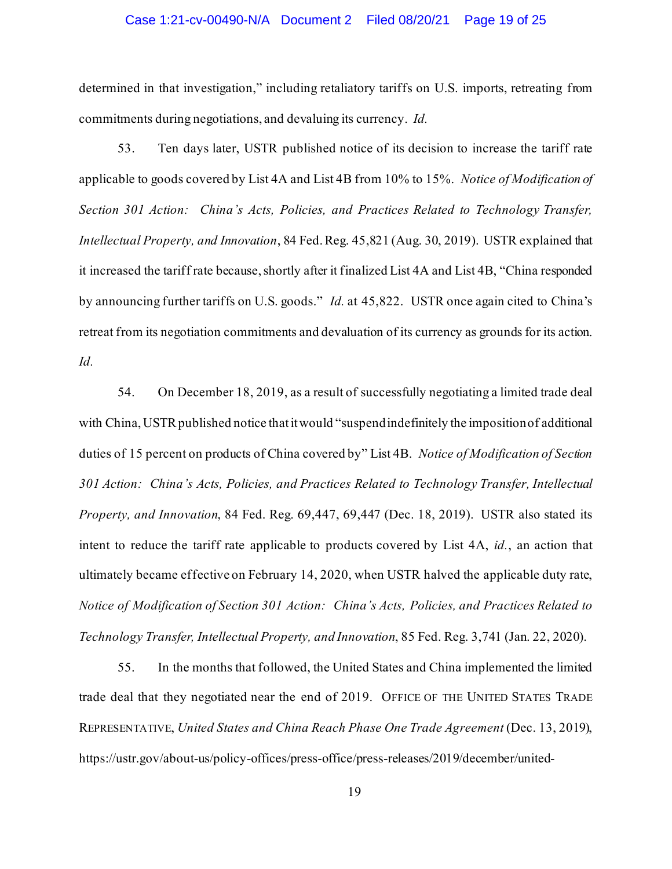### Case 1:21-cv-00490-N/A Document 2 Filed 08/20/21 Page 19 of 25

determined in that investigation," including retaliatory tariffs on U.S. imports, retreating from commitments during negotiations, and devaluing its currency. *Id.*

53. Ten days later, USTR published notice of its decision to increase the tariff rate applicable to goods covered by List 4A and List 4B from 10% to 15%. *Notice of Modification of Section 301 Action: China's Acts, Policies, and Practices Related to Technology Transfer, Intellectual Property, and Innovation*, 84 Fed. Reg. 45,821 (Aug. 30, 2019). USTR explained that it increased the tariff rate because, shortly after it finalized List 4A and List 4B, "China responded by announcing further tariffs on U.S. goods." *Id.* at 45,822.USTR once again cited to China's retreat from its negotiation commitments and devaluation of its currency as grounds for its action. *Id.*

54. On December 18, 2019, as a result of successfully negotiating a limited trade deal with China, USTR published notice that it would "suspend indefinitely the imposition of additional duties of 15 percent on products of China covered by" List 4B. *Notice of Modification of Section 301 Action: China's Acts, Policies, and Practices Related to Technology Transfer, Intellectual Property, and Innovation*, 84 Fed. Reg. 69,447, 69,447 (Dec. 18, 2019). USTR also stated its intent to reduce the tariff rate applicable to products covered by List 4A, *id.*, an action that ultimately became effective on February 14, 2020, when USTR halved the applicable duty rate, *Notice of Modification of Section 301 Action: China's Acts, Policies, and Practices Related to Technology Transfer, Intellectual Property, and Innovation*, 85 Fed. Reg. 3,741 (Jan. 22, 2020).

55. In the months that followed, the United States and China implemented the limited trade deal that they negotiated near the end of 2019. OFFICE OF THE UNITED STATES TRADE REPRESENTATIVE, *United States and China Reach Phase One Trade Agreement* (Dec. 13, 2019), https://ustr.gov/about-us/policy-offices/press-office/press-releases/2019/december/united-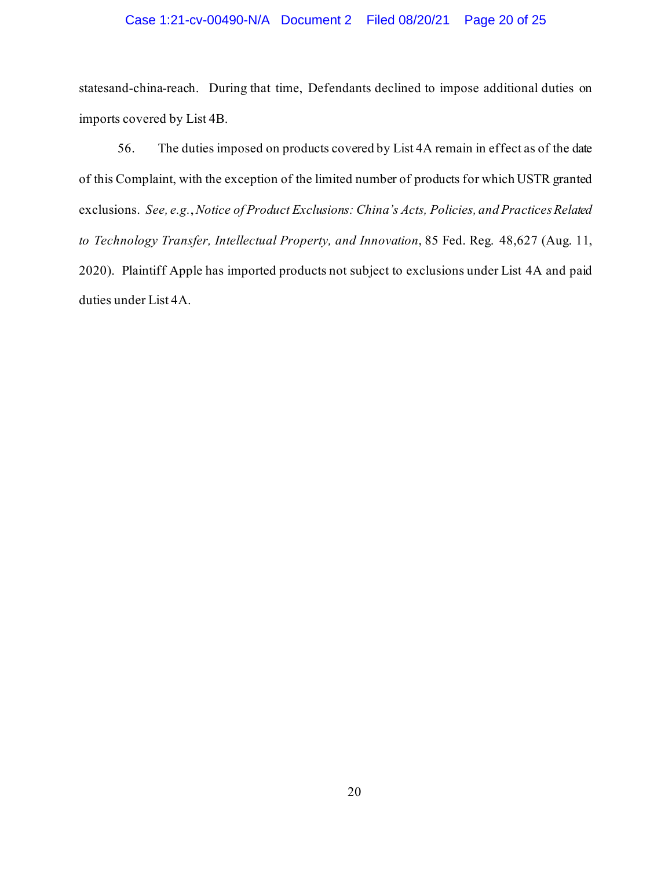### Case 1:21-cv-00490-N/A Document 2 Filed 08/20/21 Page 20 of 25

statesand-china-reach. During that time, Defendants declined to impose additional duties on imports covered by List 4B.

56. The duties imposed on products covered by List 4A remain in effect as of the date of this Complaint, with the exception of the limited number of products for which USTR granted exclusions. *See, e.g.*,*Notice of Product Exclusions: China's Acts, Policies, and Practices Related to Technology Transfer, Intellectual Property, and Innovation*, 85 Fed. Reg. 48,627 (Aug. 11, 2020). Plaintiff Apple has imported products not subject to exclusions under List 4A and paid duties under List 4A.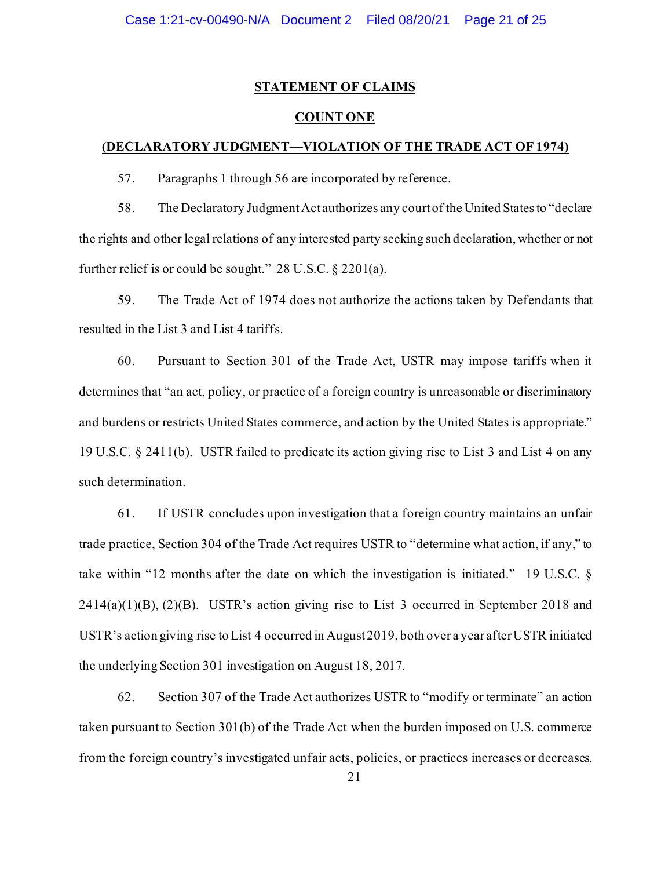## **STATEMENT OF CLAIMS**

## **COUNT ONE**

#### **(DECLARATORY JUDGMENT—VIOLATION OF THE TRADE ACT OF 1974)**

57. Paragraphs 1 through 56 are incorporated by reference.

58. The Declaratory Judgment Act authorizes any court of the United States to "declare the rights and other legal relations of any interested party seeking such declaration, whether or not further relief is or could be sought." 28 U.S.C. § 2201(a).

59. The Trade Act of 1974 does not authorize the actions taken by Defendants that resulted in the List 3 and List 4 tariffs.

60. Pursuant to Section 301 of the Trade Act, USTR may impose tariffs when it determines that "an act, policy, or practice of a foreign country is unreasonable or discriminatory and burdens or restricts United States commerce, and action by the United States is appropriate." 19 U.S.C. § 2411(b). USTR failed to predicate its action giving rise to List 3 and List 4 on any such determination.

61. If USTR concludes upon investigation that a foreign country maintains an unfair trade practice, Section 304 of the Trade Act requires USTR to "determine what action, if any," to take within "12 months after the date on which the investigation is initiated." 19 U.S.C. §  $2414(a)(1)(B)$ ,  $(2)(B)$ . USTR's action giving rise to List 3 occurred in September 2018 and USTR's action giving rise to List 4 occurred in August 2019, both over a year after USTR initiated the underlying Section 301 investigation on August 18, 2017.

62. Section 307 of the Trade Act authorizes USTR to "modify or terminate" an action taken pursuant to Section 301(b) of the Trade Act when the burden imposed on U.S. commerce from the foreign country's investigated unfair acts, policies, or practices increases or decreases.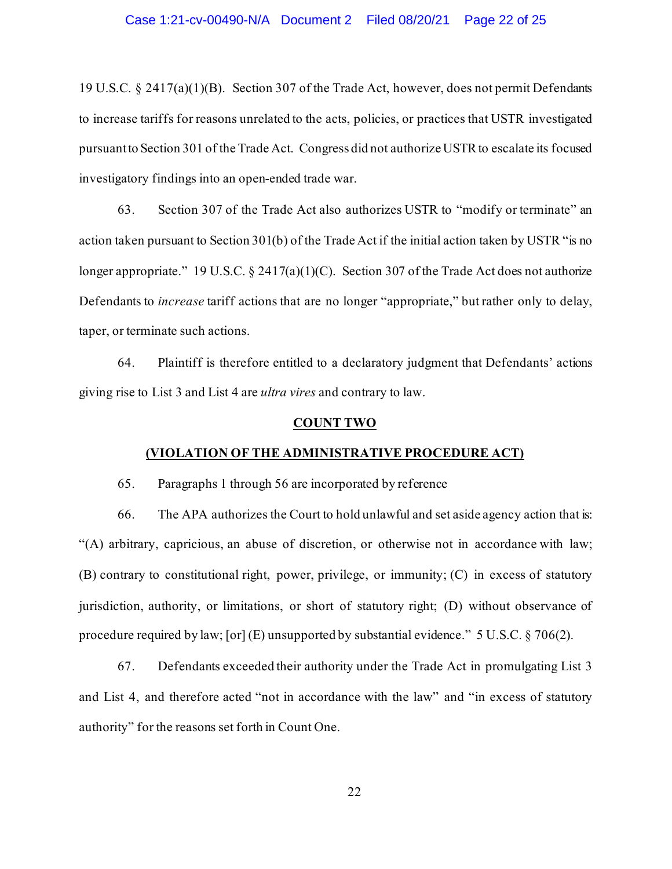19 U.S.C. § 2417(a)(1)(B). Section 307 of the Trade Act, however, does not permit Defendants to increase tariffs for reasons unrelated to the acts, policies, or practices that USTR investigated pursuantto Section 301 of the Trade Act. Congress did not authorize USTR to escalate its focused investigatory findings into an open-ended trade war.

63. Section 307 of the Trade Act also authorizes USTR to "modify or terminate" an action taken pursuant to Section 301(b) of the Trade Act if the initial action taken by USTR "is no longer appropriate." 19 U.S.C. § 2417(a)(1)(C). Section 307 of the Trade Act does not authorize Defendants to *increase* tariff actions that are no longer "appropriate," but rather only to delay, taper, or terminate such actions.

64. Plaintiff is therefore entitled to a declaratory judgment that Defendants' actions giving rise to List 3 and List 4 are *ultra vires* and contrary to law.

#### **COUNT TWO**

#### **(VIOLATION OF THE ADMINISTRATIVE PROCEDURE ACT)**

65. Paragraphs 1 through 56 are incorporated by reference

66. The APA authorizes the Court to hold unlawful and set aside agency action that is: "(A) arbitrary, capricious, an abuse of discretion, or otherwise not in accordance with law; (B) contrary to constitutional right, power, privilege, or immunity; (C) in excess of statutory jurisdiction, authority, or limitations, or short of statutory right; (D) without observance of procedure required by law; [or] (E) unsupported by substantial evidence." 5 U.S.C. § 706(2).

67. Defendants exceeded their authority under the Trade Act in promulgating List 3 and List 4, and therefore acted "not in accordance with the law" and "in excess of statutory authority" for the reasons set forth in Count One.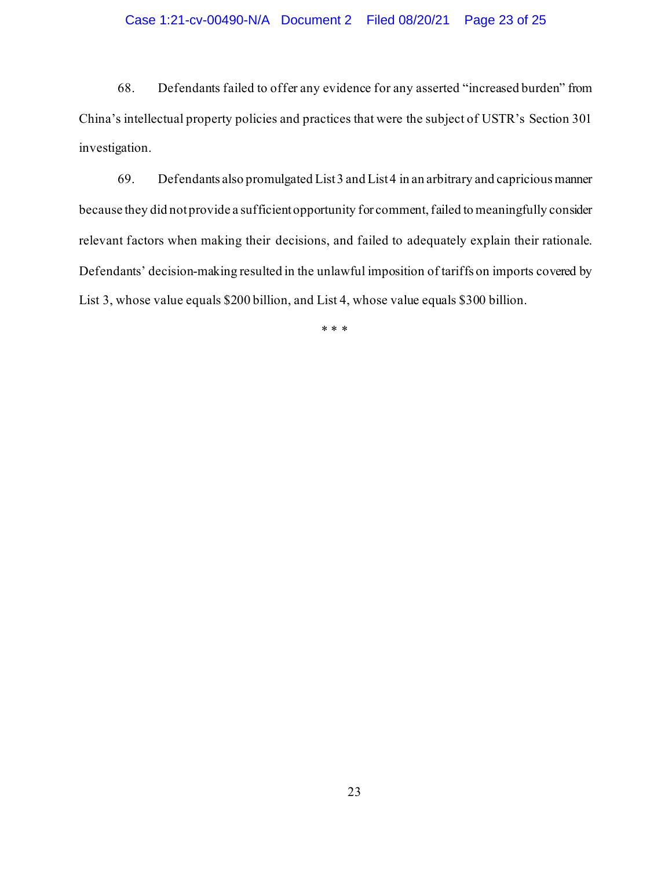### Case 1:21-cv-00490-N/A Document 2 Filed 08/20/21 Page 23 of 25

68. Defendants failed to offer any evidence for any asserted "increased burden" from China's intellectual property policies and practices that were the subject of USTR's Section 301 investigation.

69. Defendants also promulgated List 3 and List 4 in an arbitrary and capricious manner because they did not provide a sufficient opportunity for comment, failed to meaningfully consider relevant factors when making their decisions, and failed to adequately explain their rationale. Defendants' decision-making resulted in the unlawful imposition of tariffs on imports covered by List 3, whose value equals \$200 billion, and List 4, whose value equals \$300 billion.

\* \* \*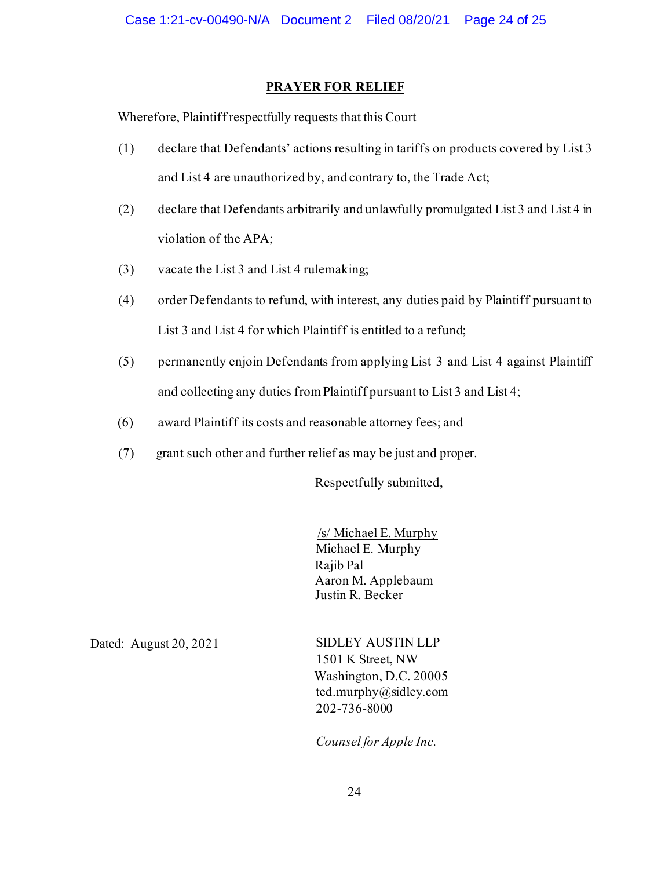## **PRAYER FOR RELIEF**

Wherefore, Plaintiff respectfully requests that this Court

- (1) declare that Defendants' actions resulting in tariffs on products covered by List 3 and List 4 are unauthorized by, and contrary to, the Trade Act;
- (2) declare that Defendants arbitrarily and unlawfully promulgated List 3 and List 4 in violation of the APA;
- (3) vacate the List 3 and List 4 rulemaking;
- (4) order Defendants to refund, with interest, any duties paid by Plaintiff pursuant to List 3 and List 4 for which Plaintiff is entitled to a refund;
- (5) permanently enjoin Defendants from applying List 3 and List 4 against Plaintiff and collecting any duties from Plaintiff pursuant to List 3 and List 4;
- (6) award Plaintiff its costs and reasonable attorney fees; and
- (7) grant such other and further relief as may be just and proper.

Respectfully submitted,

/s/ Michael E. Murphy Michael E. Murphy Rajib Pal Aaron M. Applebaum Justin R. Becker

Dated: August 20, 2021 SIDLEY AUSTIN LLP 1501 K Street, NW Washington, D.C. 20005 ted.murphy@sidley.com 202-736-8000

*Counsel for Apple Inc.*